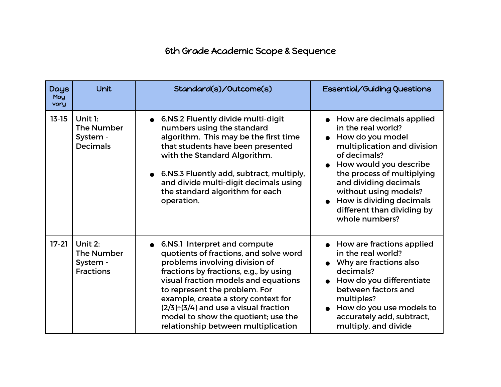## 6th Grade Academic Scope & Sequence

| <b>Days</b><br>May<br>vary | Unit                                                           | Standard(s)/Outcome(s)                                                                                                                                                                                                                                                                                                                                                                             | Essential/Guiding Questions                                                                                                                                                                                                                                                                               |
|----------------------------|----------------------------------------------------------------|----------------------------------------------------------------------------------------------------------------------------------------------------------------------------------------------------------------------------------------------------------------------------------------------------------------------------------------------------------------------------------------------------|-----------------------------------------------------------------------------------------------------------------------------------------------------------------------------------------------------------------------------------------------------------------------------------------------------------|
| $13 - 15$                  | Unit 1:<br>The Number<br>System -<br><b>Decimals</b>           | ● 6.NS.2 Fluently divide multi-digit<br>numbers using the standard<br>algorithm. This may be the first time<br>that students have been presented<br>with the Standard Algorithm.<br>6.NS.3 Fluently add, subtract, multiply,<br>and divide multi-digit decimals using<br>the standard algorithm for each<br>operation.                                                                             | • How are decimals applied<br>in the real world?<br>How do you model<br>multiplication and division<br>of decimals?<br>How would you describe<br>the process of multiplying<br>and dividing decimals<br>without using models?<br>How is dividing decimals<br>different than dividing by<br>whole numbers? |
| $17-21$                    | Unit $2:$<br><b>The Number</b><br>System -<br><b>Fractions</b> | • 6.NS.1 Interpret and compute<br>quotients of fractions, and solve word<br>problems involving division of<br>fractions by fractions, e.g., by using<br>visual fraction models and equations<br>to represent the problem. For<br>example, create a story context for<br>$(2/3) \div (3/4)$ and use a visual fraction<br>model to show the quotient; use the<br>relationship between multiplication | • How are fractions applied<br>in the real world?<br>Why are fractions also<br>decimals?<br>How do you differentiate<br>$\bullet$<br>between factors and<br>multiples?<br>How do you use models to<br>accurately add, subtract,<br>multiply, and divide                                                   |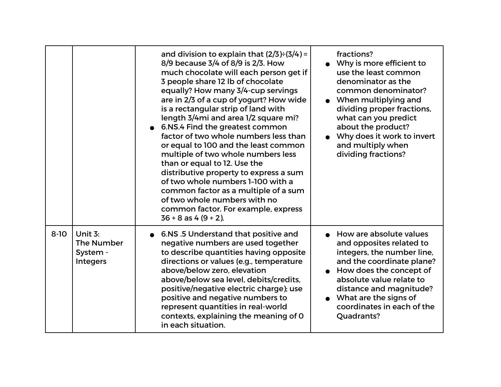|          |                                                        | and division to explain that $(2/3) \div (3/4) =$<br>8/9 because 3/4 of 8/9 is 2/3. How<br>much chocolate will each person get if<br>3 people share 12 lb of chocolate<br>equally? How many 3/4-cup servings<br>are in 2/3 of a cup of yogurt? How wide<br>is a rectangular strip of land with<br>length 3/4mi and area 1/2 square mi?<br>6.NS.4 Find the greatest common<br>factor of two whole numbers less than<br>or equal to 100 and the least common<br>multiple of two whole numbers less<br>than or equal to 12. Use the<br>distributive property to express a sum<br>of two whole numbers 1-100 with a<br>common factor as a multiple of a sum<br>of two whole numbers with no<br>common factor. For example, express<br>$36 + 8$ as 4 $(9 + 2)$ . | fractions?<br>Why is more efficient to<br>use the least common<br>denominator as the<br>common denominator?<br>• When multiplying and<br>dividing proper fractions,<br>what can you predict<br>about the product?<br>Why does it work to invert<br>and multiply when<br>dividing fractions? |
|----------|--------------------------------------------------------|-------------------------------------------------------------------------------------------------------------------------------------------------------------------------------------------------------------------------------------------------------------------------------------------------------------------------------------------------------------------------------------------------------------------------------------------------------------------------------------------------------------------------------------------------------------------------------------------------------------------------------------------------------------------------------------------------------------------------------------------------------------|---------------------------------------------------------------------------------------------------------------------------------------------------------------------------------------------------------------------------------------------------------------------------------------------|
| $8 - 10$ | Unit $3:$<br>The Number<br>System -<br><b>Integers</b> | • 6.NS .5 Understand that positive and<br>negative numbers are used together<br>to describe quantities having opposite<br>directions or values (e.g., temperature<br>above/below zero, elevation<br>above/below sea level, debits/credits,<br>positive/negative electric charge); use<br>positive and negative numbers to<br>represent quantities in real-world<br>contexts, explaining the meaning of 0<br>in each situation.                                                                                                                                                                                                                                                                                                                              | • How are absolute values<br>and opposites related to<br>integers, the number line,<br>and the coordinate plane?<br>How does the concept of<br>absolute value relate to<br>distance and magnitude?<br>$\bullet$ What are the signs of<br>coordinates in each of the<br>Quadrants?           |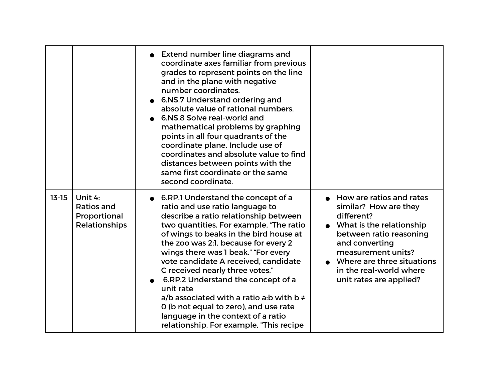|           |                                                               | • Extend number line diagrams and<br>coordinate axes familiar from previous<br>grades to represent points on the line<br>and in the plane with negative<br>number coordinates.<br>6.NS.7 Understand ordering and<br>absolute value of rational numbers.<br>6.NS.8 Solve real-world and<br>mathematical problems by graphing<br>points in all four quadrants of the<br>coordinate plane. Include use of<br>coordinates and absolute value to find<br>distances between points with the<br>same first coordinate or the same<br>second coordinate.                                              |                                                                                                                                                                                                                                                        |
|-----------|---------------------------------------------------------------|-----------------------------------------------------------------------------------------------------------------------------------------------------------------------------------------------------------------------------------------------------------------------------------------------------------------------------------------------------------------------------------------------------------------------------------------------------------------------------------------------------------------------------------------------------------------------------------------------|--------------------------------------------------------------------------------------------------------------------------------------------------------------------------------------------------------------------------------------------------------|
| $13 - 15$ | Unit 4:<br><b>Ratios and</b><br>Proportional<br>Relationships | • 6.RP.1 Understand the concept of a<br>ratio and use ratio language to<br>describe a ratio relationship between<br>two quantities. For example, 'The ratio<br>of wings to beaks in the bird house at<br>the zoo was 2:1, because for every 2<br>wings there was I beak." "For every<br>vote candidate A received, candidate<br>C received nearly three votes."<br>6.RP.2 Understand the concept of a<br>unit rate<br>a/b associated with a ratio a:b with $b \neq$<br>0 (b not equal to zero), and use rate<br>language in the context of a ratio<br>relationship. For example, "This recipe | • How are ratios and rates<br>similar? How are they<br>different?<br>• What is the relationship<br>between ratio reasoning<br>and converting<br>measurement units?<br>Where are three situations<br>in the real-world where<br>unit rates are applied? |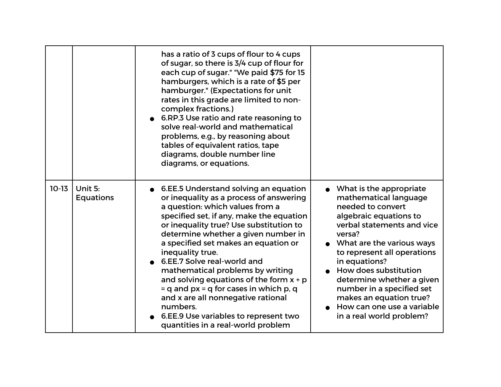|         |                             | has a ratio of 3 cups of flour to 4 cups<br>of sugar, so there is 3/4 cup of flour for<br>each cup of sugar." "We paid \$75 for 15<br>hamburgers, which is a rate of \$5 per<br>hamburger." (Expectations for unit<br>rates in this grade are limited to non-<br>complex fractions.)<br>6.RP.3 Use ratio and rate reasoning to<br>solve real-world and mathematical<br>problems, e.g., by reasoning about<br>tables of equivalent ratios, tape<br>diagrams, double number line<br>diagrams, or equations.                                                                                                      |                                                                                                                                                                                                                                                                                                                                                                                                  |
|---------|-----------------------------|----------------------------------------------------------------------------------------------------------------------------------------------------------------------------------------------------------------------------------------------------------------------------------------------------------------------------------------------------------------------------------------------------------------------------------------------------------------------------------------------------------------------------------------------------------------------------------------------------------------|--------------------------------------------------------------------------------------------------------------------------------------------------------------------------------------------------------------------------------------------------------------------------------------------------------------------------------------------------------------------------------------------------|
| $10-13$ | Unit 5:<br><b>Equations</b> | ● 6.EE.5 Understand solving an equation<br>or inequality as a process of answering<br>a question: which values from a<br>specified set, if any, make the equation<br>or inequality true? Use substitution to<br>determine whether a given number in<br>a specified set makes an equation or<br>inequality true.<br>6.EE.7 Solve real-world and<br>mathematical problems by writing<br>and solving equations of the form $x + p$<br>$=$ q and px $=$ q for cases in which p, q<br>and x are all nonnegative rational<br>numbers.<br>6.EE.9 Use variables to represent two<br>quantities in a real-world problem | • What is the appropriate<br>mathematical language<br>needed to convert<br>algebraic equations to<br>verbal statements and vice<br>versa?<br>• What are the various ways<br>to represent all operations<br>in equations?<br>How does substitution<br>determine whether a given<br>number in a specified set<br>makes an equation true?<br>How can one use a variable<br>in a real world problem? |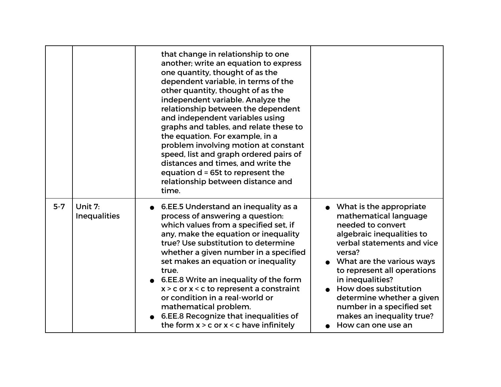|         |                                | that change in relationship to one<br>another; write an equation to express<br>one quantity, thought of as the<br>dependent variable, in terms of the<br>other quantity, thought of as the<br>independent variable. Analyze the<br>relationship between the dependent<br>and independent variables using<br>graphs and tables, and relate these to<br>the equation. For example, in a<br>problem involving motion at constant<br>speed, list and graph ordered pairs of<br>distances and times, and write the<br>equation d = 65t to represent the<br>relationship between distance and<br>time. |                                                                                                                                                                                                                                                                                                                                                                  |
|---------|--------------------------------|--------------------------------------------------------------------------------------------------------------------------------------------------------------------------------------------------------------------------------------------------------------------------------------------------------------------------------------------------------------------------------------------------------------------------------------------------------------------------------------------------------------------------------------------------------------------------------------------------|------------------------------------------------------------------------------------------------------------------------------------------------------------------------------------------------------------------------------------------------------------------------------------------------------------------------------------------------------------------|
| $5 - 7$ | Unit 7:<br><b>Inequalities</b> | 6.EE.5 Understand an inequality as a<br>process of answering a question:<br>which values from a specified set, if<br>any, make the equation or inequality<br>true? Use substitution to determine<br>whether a given number in a specified<br>set makes an equation or inequality<br>true.<br>6.EE.8 Write an inequality of the form<br>$x > c$ or $x < c$ to represent a constraint<br>or condition in a real-world or<br>mathematical problem.<br>6.EE.8 Recognize that inequalities of<br>the form $x > c$ or $x < c$ have infinitely                                                          | What is the appropriate<br>mathematical language<br>needed to convert<br>algebraic inequalities to<br>verbal statements and vice<br>versa?<br>What are the various ways<br>to represent all operations<br>in inequalities?<br>How does substitution<br>determine whether a given<br>number in a specified set<br>makes an inequality true?<br>How can one use an |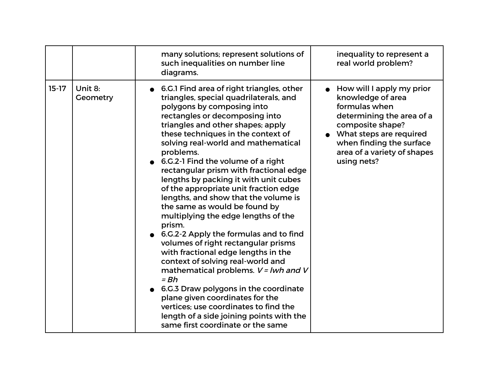|         |                     | many solutions; represent solutions of<br>such inequalities on number line<br>diagrams.                                                                                                                                                                                                                                                                                                                                                                                                                                                                                                                                                                                                                                                                                                                                                                                                                                                                                                             | inequality to represent a<br>real world problem?                                                                                                                                                                                  |
|---------|---------------------|-----------------------------------------------------------------------------------------------------------------------------------------------------------------------------------------------------------------------------------------------------------------------------------------------------------------------------------------------------------------------------------------------------------------------------------------------------------------------------------------------------------------------------------------------------------------------------------------------------------------------------------------------------------------------------------------------------------------------------------------------------------------------------------------------------------------------------------------------------------------------------------------------------------------------------------------------------------------------------------------------------|-----------------------------------------------------------------------------------------------------------------------------------------------------------------------------------------------------------------------------------|
| $15-17$ | Unit 8:<br>Geometry | 6.G.1 Find area of right triangles, other<br>triangles, special quadrilaterals, and<br>polygons by composing into<br>rectangles or decomposing into<br>triangles and other shapes; apply<br>these techniques in the context of<br>solving real-world and mathematical<br>problems.<br>6.G.2-1 Find the volume of a right<br>rectangular prism with fractional edge<br>lengths by packing it with unit cubes<br>of the appropriate unit fraction edge<br>lengths, and show that the volume is<br>the same as would be found by<br>multiplying the edge lengths of the<br>prism.<br>6.G.2-2 Apply the formulas and to find<br>volumes of right rectangular prisms<br>with fractional edge lengths in the<br>context of solving real-world and<br>mathematical problems. V = lwh and V<br>$= Bh$<br>6.G.3 Draw polygons in the coordinate<br>plane given coordinates for the<br>vertices; use coordinates to find the<br>length of a side joining points with the<br>same first coordinate or the same | $\bullet$ How will I apply my prior<br>knowledge of area<br>formulas when<br>determining the area of a<br>composite shape?<br>• What steps are required<br>when finding the surface<br>area of a variety of shapes<br>using nets? |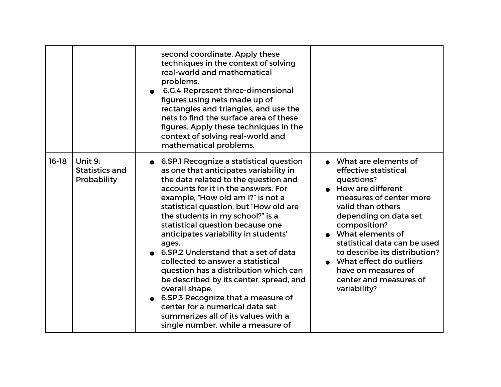|         |                                          | second coordinate. Apply these<br>techniques in the context of solving<br>real-world and mathematical<br>problems.<br>6.G.4 Represent three-dimensional<br>figures using nets made up of<br>rectangles and triangles, and use the<br>nets to find the surface area of these<br>figures. Apply these techniques in the<br>context of solving real-world and<br>mathematical problems.                                                                                                                                                                                                                                                                                                                               |                                                                                                                                                                                                                                                                                                                                                              |
|---------|------------------------------------------|--------------------------------------------------------------------------------------------------------------------------------------------------------------------------------------------------------------------------------------------------------------------------------------------------------------------------------------------------------------------------------------------------------------------------------------------------------------------------------------------------------------------------------------------------------------------------------------------------------------------------------------------------------------------------------------------------------------------|--------------------------------------------------------------------------------------------------------------------------------------------------------------------------------------------------------------------------------------------------------------------------------------------------------------------------------------------------------------|
| $16-18$ | Unit 9:<br>Statistics and<br>Probability | 6.SP.1 Recognize a statistical question<br>as one that anticipates variability in<br>the data related to the question and<br>accounts for it in the answers. For<br>example, "How old am I?" is not a<br>statistical question, but "How old are<br>the students in my school?" is a<br>statistical question because one<br>anticipates variability in students'<br>ages.<br>6.SP.2 Understand that a set of data<br>collected to answer a statistical<br>question has a distribution which can<br>be described by its center, spread, and<br>overall shape.<br>• 6.SP.3 Recognize that a measure of<br>center for a numerical data set<br>summarizes all of its values with a<br>single number, while a measure of | What are elements of<br>effective statistical<br>questions?<br>• How are different<br>measures of center more<br>valid than others<br>depending on data set<br>composition?<br>What elements of<br>statistical data can be used<br>to describe its distribution?<br>What effect do outliers<br>have on measures of<br>center and measures of<br>variability? |